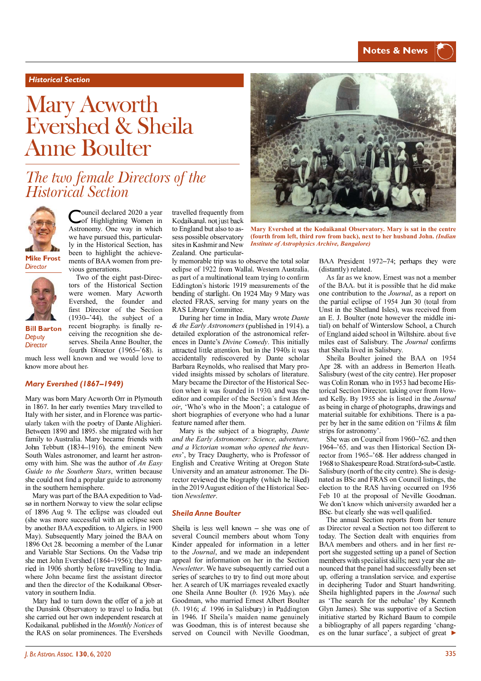# *Historical Section*

# Mary Acworth Evershed & Sheila **Anne Boulter**

# The two female Directors of the **Historical Section**

ouncil declared 2020 a year Council decided 2022 Astronomy. One way in which we have pursued this, particularly in the Historical Section, has been to highlight the achievements of BAA women from pre-



**Mike Frost** Director



**Bill Barton** Debuty

Director

vious generations. Two of the eight past-Directors of the Historical Section were women. Mary Acworth Evershed, the founder and first Director of the Section  $(1930 - 744)$ , the subject of a recent biography, is finally receiving the recognition she deserves. Sheila Anne Boulter, the fourth Director (1965–'68), is

much less well known and we would love to know more about her.

### *Mary Evershed (1867–1949)*

Mary was born Mary Acworth Orr in Plymouth in 1867. In her early twenties Mary travelled to Italy with her sister, and in Florence was partic ularly taken with the poetry of Dante Alighieri. Between 1890 and 1895, she migrated with her family to Australia. Mary became friends with John Tebbutt (1834-1916), the eminent New South Wales astronomer, and learnt her astronomy with him. She was the author of *An Easy Guide to the Southern Stars*, written because she could not find a popular guide to astronomy in the southern hemisphere.

Mary was part of the BAA expedition to Vadsø in northern Norway to view the solar eclipse of 1896 Aug 9. The eclipse was clouded out (she was more successful with an eclipse seen by another BAA expedition, to Algiers, in 1900 May). Subsequently Mary joined the BAA on 1896 Oct 28, becoming a member of the Lunar and Variable Star Sections. On the Vadsø trip she met John Evershed (1864-1956); they married in 1906 shortly before travelling to India. where John became first the assistant director and then the director of the Kodaikanal Observatory in southern India.

Mary had to turn down the offer of a job at the Dunsink Observatory to travel to India, but she carried out her own independent research at Kodaikanal, published in the *Monthly Notices* of the RAS on solar prominences. The Eversheds

travelled frequently from Kodaikanal, not just back to England but also to assess possible observatory sites in Kashmir and New Zealand. One particular-

ly memorable trip was to observe the total solar eclipse of 1922 from Wallal, Western Australia, as part of a multinational team trying to confirm Eddington's historic 1919 measurements of the bending of starlight. On 1924 May 9 Mary was elected FRAS, serving for many years on the RAS Library Committee.

During her time in India, Mary wrote *Dante*   $&$  the Early Astronomers (published in 1914), a detailed exploration of the astronomical references in Dante's *Divine Comedy*. This initially attracted little attention, but in the 1940s it was accidentally rediscovered by Dante scholar Barbara Reynolds, who realised that Mary provided insights missed by scholars of literature. Mary became the Director of the Historical Sec tion when it was founded in 1930, and was the editor and compiler of the Section's first Mem*oir*, 'Who's who in the Moon'; a catalogue of short biographies of everyone who had a lunar feature named after them.

Mary is the subject of a biography, *Dante and the Early Astronomer: Science, adventure, and a Victorian woman who opened the heavens*', by Tracy Daugherty, who is Professor of English and Creative Writing at Oregon State University and an amateur astronomer. The Di rector reviewed the biography (which he liked) in the 2019 August edition of the Historical Section *Newsletter*.

#### *Sheila Anne Boulter*

Sheila is less well known – she was one of several Council members about whom Tony Kinder appealed for information in a letter to the *Journal*, and we made an independent appeal for information on her in the Section *Newsletter*. We have subsequently carried out a series of searches to try to find out more about her. A search of UK marriages revealed exactly one Sheila Anne Boulter (*b.* 1926 May), née Goodman, who married Ernest Albert Boulter (*b*. 1916; *d.* 1996 in Salisbury) in Paddington in 1946. If Sheila's maiden name genuinely was Goodman, this is of interest because she served on Council with Neville Goodman,



**Mary Evershed at the Kodaikanal Observatory. Mary is sat in the centre (fourth from left, third row from back), next to her husband John.** *(Indian Institute of Astrophysics Archive, Bangalore)*

BAA President 1972-74; perhaps they were (distantly) related.

As far as we know, Ernest was not a member of the BAA, but it is possible that he did make one contribution to the *Journal*, as a report on the partial eclipse of 1954 Jun 30 (total from Unst in the Shetland Isles), was received from an E. J. Boulter (note however the middle initial) on behalf of Winterslow School, a Church of England aided school in Wiltshire, about five miles east of Salisbury. The *Journal* confirms that Sheila lived in Salisbury.

Sheila Boulter joined the BAA on 1954 Apr 28, with an address in Bemerton Heath, Salisbury (west of the city centre). Her proposer was Colin Ronan, who in 1953 had become Historical Section Director, taking over from Howard Kelly. By 1955 she is listed in the *Journal* as being in charge of photographs, drawings and material suitable for exhibitions. There is a pa per by her in the same edition on 'Films  $\&$  film strips for astronomy'.

She was on Council from  $1960 - 62$ , and then 1964-'65, and was then Historical Section Director from 1965–'68. Her address changed in 1968 to Shakespeare Road, Stratford-sub-Castle, Salisbury (north of the city centre). She is designated as BSc and FRAS on Council listings, the election to the RAS having occurred on 1956 Feb 10 at the proposal of Neville Goodman. We don't know which university awarded her a BSc. but clearly she was well qualified.

The annual Section reports from her tenure as Director reveal a Section not too different to today. The Section dealt with enquiries from BAA members and others, and in her first report she suggested setting up a panel of Section members with specialist skills; next year she announced that the panel had successfully been set up, offering a translation service, and expertise in deciphering Tudor and Stuart handwriting. Sheila highlighted papers in the *Journal* such as 'The search for the nebulae' (by Kenneth Glyn James). She was supportive of a Section initiative started by Richard Baum to compile a bibliography of all papers regarding 'changes on the lunar surface', a subject of great ▶